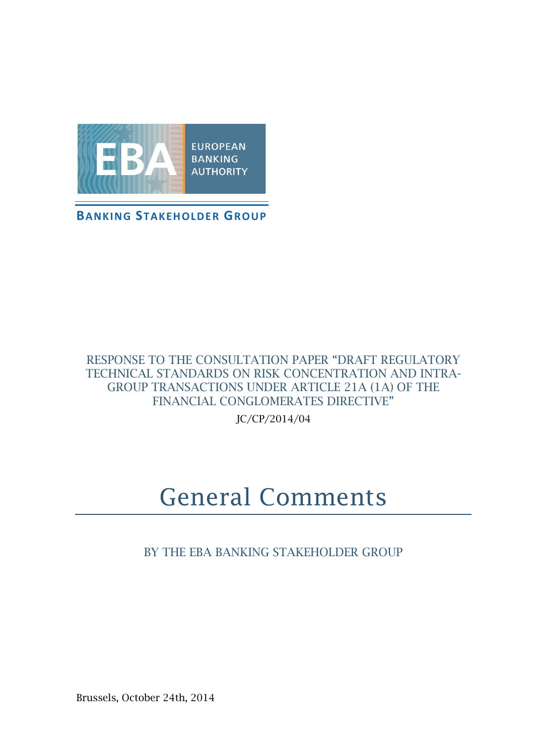

**BANKING STAKEHOLDER GROUP**

#### RESPONSE TO THE CONSULTATION PAPER "DRAFT REGULATORY TECHNICAL STANDARDS ON RISK CONCENTRATION AND INTRA-GROUP TRANSACTIONS UNDER ARTICLE 21A (1A) OF THE FINANCIAL CONGLOMERATES DIRECTIVE"

JC/CP/2014/04

# General Comments

BY THE EBA BANKING STAKEHOLDER GROUP

Brussels, October 24th, 2014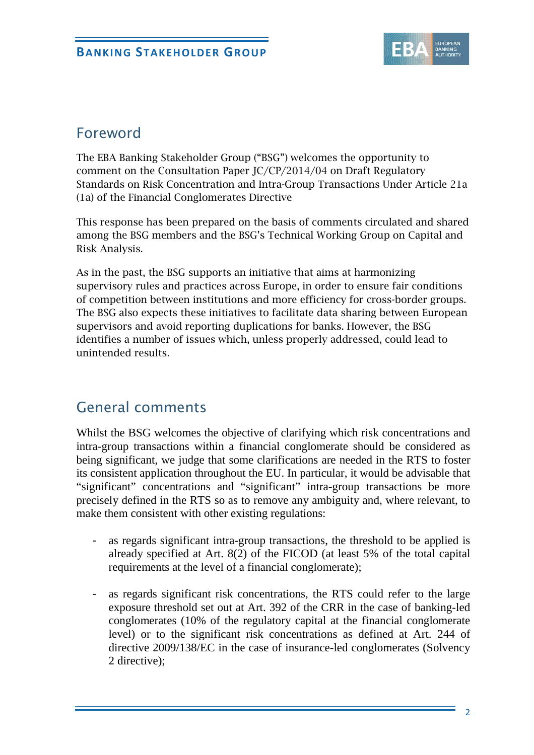

### Foreword

The EBA Banking Stakeholder Group ("BSG") welcomes the opportunity to comment on the Consultation Paper JC/CP/2014/04 on Draft Regulatory Standards on Risk Concentration and Intra-Group Transactions Under Article 21a (1a) of the Financial Conglomerates Directive

This response has been prepared on the basis of comments circulated and shared among the BSG members and the BSG's Technical Working Group on Capital and Risk Analysis.

As in the past, the BSG supports an initiative that aims at harmonizing supervisory rules and practices across Europe, in order to ensure fair conditions of competition between institutions and more efficiency for cross-border groups. The BSG also expects these initiatives to facilitate data sharing between European supervisors and avoid reporting duplications for banks. However, the BSG identifies a number of issues which, unless properly addressed, could lead to unintended results.

## General comments

Whilst the BSG welcomes the objective of clarifying which risk concentrations and intra-group transactions within a financial conglomerate should be considered as being significant, we judge that some clarifications are needed in the RTS to foster its consistent application throughout the EU. In particular, it would be advisable that "significant" concentrations and "significant" intra-group transactions be more precisely defined in the RTS so as to remove any ambiguity and, where relevant, to make them consistent with other existing regulations:

- as regards significant intra-group transactions, the threshold to be applied is already specified at Art. 8(2) of the FICOD (at least 5% of the total capital requirements at the level of a financial conglomerate);
- as regards significant risk concentrations, the RTS could refer to the large exposure threshold set out at Art. 392 of the CRR in the case of banking-led conglomerates (10% of the regulatory capital at the financial conglomerate level) or to the significant risk concentrations as defined at Art. 244 of directive 2009/138/EC in the case of insurance-led conglomerates (Solvency 2 directive);